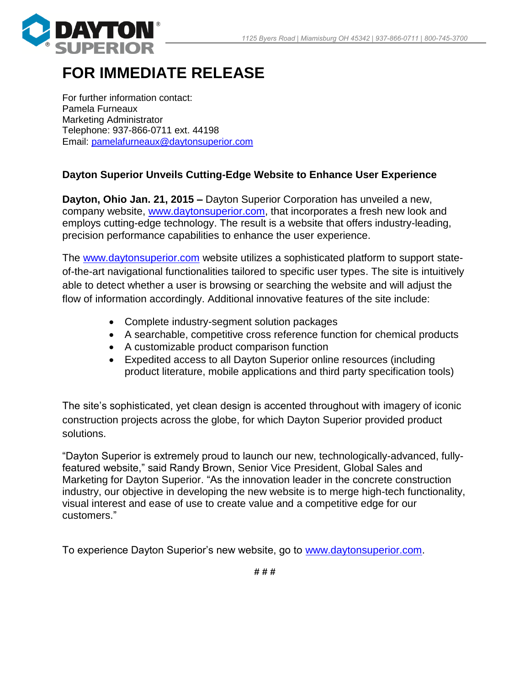

## **FOR IMMEDIATE RELEASE**

For further information contact: Pamela Furneaux Marketing Administrator Telephone: 937-866-0711 ext. 44198 Email: [pamelafurneaux@daytonsuperior.com](mailto:pamelafurneaux@daytonsuperior.com)

## **Dayton Superior Unveils Cutting-Edge Website to Enhance User Experience**

**Dayton, Ohio Jan. 21, 2015 –** Dayton Superior Corporation has unveiled a new, company website, [www.daytonsuperior.com,](http://www.daytonsuperior.com/) that incorporates a fresh new look and employs cutting-edge technology. The result is a website that offers industry-leading, precision performance capabilities to enhance the user experience.

The www.daytonsuperior.com website utilizes a sophisticated platform to support stateof-the-art navigational functionalities tailored to specific user types. The site is intuitively able to detect whether a user is browsing or searching the website and will adjust the flow of information accordingly. Additional innovative features of the site include:

- Complete industry-segment solution packages
- A searchable, competitive cross reference function for chemical products
- A customizable product comparison function
- Expedited access to all Dayton Superior online resources (including product literature, mobile applications and third party specification tools)

The site's sophisticated, yet clean design is accented throughout with imagery of iconic construction projects across the globe, for which Dayton Superior provided product solutions.

"Dayton Superior is extremely proud to launch our new, technologically-advanced, fullyfeatured website," said Randy Brown, Senior Vice President, Global Sales and Marketing for Dayton Superior. "As the innovation leader in the concrete construction industry, our objective in developing the new website is to merge high-tech functionality, visual interest and ease of use to create value and a competitive edge for our customers."

To experience Dayton Superior's new website, go to [www.daytonsuperior.com.](http://www.daytonsuperior.com/)